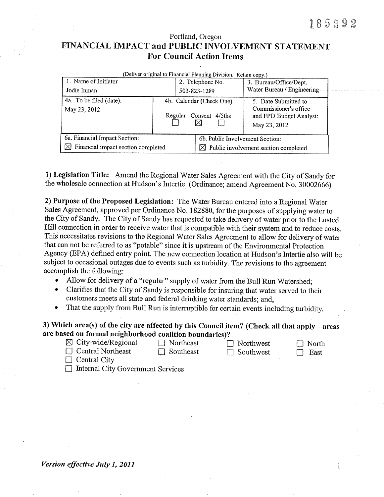# Portland, Oregon FINANCIAL IMPACT and PUBLIC INVOLVEMENT STATEMENT **For Council Action Items**

| (Deliver original to Financial Planning Division. Retain copy.)                 |                                                          |                                                                                     |                                                                                          |
|---------------------------------------------------------------------------------|----------------------------------------------------------|-------------------------------------------------------------------------------------|------------------------------------------------------------------------------------------|
| 1. Name of Initiator                                                            |                                                          | 2. Telephone No.                                                                    | 3. Bureau/Office/Dept.                                                                   |
| Jodie Inman                                                                     |                                                          | 503-823-1289                                                                        | Water Bureau / Engineering                                                               |
| 4a. To be filed (date):<br>May 23, 2012                                         | 4b. Calendar (Check One)<br>$4/5$ ths<br>Regular Consent |                                                                                     | 5. Date Submitted to<br>Commissioner's office<br>and FPD Budget Analyst:<br>May 23, 2012 |
| 6a. Financial Impact Section:<br>$\boxtimes$ Financial impact section completed |                                                          | 6b. Public Involvement Section:<br>$\boxtimes$ Public involvement section completed |                                                                                          |

1) Legislation Title: Amend the Regional Water Sales Agreement with the City of Sandy for the wholesale connection at Hudson's Intertie (Ordinance; amend Agreement No. 30002666)

2) Purpose of the Proposed Legislation: The Water Bureau entered into a Regional Water Sales Agreement, approved per Ordinance No. 182880, for the purposes of supplying water to the City of Sandy. The City of Sandy has requested to take delivery of water prior to the Lusted Hill connection in order to receive water that is compatible with their system and to reduce costs. This necessitates revisions to the Regional Water Sales Agreement to allow for delivery of water that can not be referred to as "potable" since it is upstream of the Environmental Protection Agency (EPA) defined entry point. The new connection location at Hudson's Intertie also will be subject to occasional outages due to events such as turbidity. The revisions to the agreement accomplish the following:

- Allow for delivery of a "regular" supply of water from the Bull Run Watershed;
- Clarifies that the City of Sandy is responsible for insuring that water served to their  $\bullet$ customers meets all state and federal drinking water standards; and,
- That the supply from Bull Run is interruptible for certain events including turbidity.  $\bullet$

# 3) Which area(s) of the city are affected by this Council item? (Check all that apply—areas are based on formal neighborhood coalition boundaries)?

 $\boxtimes$  City-wide/Regional  $\Box$  Central Northeast

 $\Box$  Northeast  $\Box$  Southeast

 $\Box$  Southwest

 $\Box$  Northwest

 $\Box$  North East  $\Box$ 

- $\Box$  Central City
- $\Box$  Internal City Government Services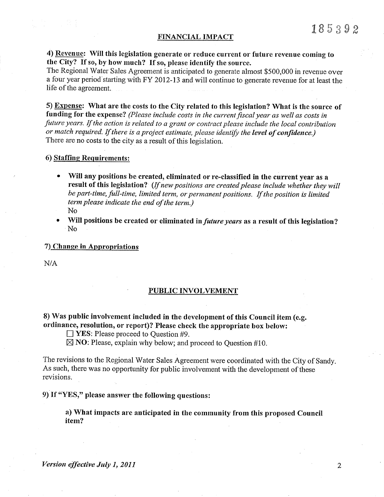#### FINANCIAL IMPACT

## 4) Revenue: Will this legislation generate or reduce current or future revenue coming to the City? If so, by how much? If so, please identify the source.

The Regional Water Sales Agreement is anticipated to generate almost \$500,000 in revenue over a four year period starting with FY 2012-13 and will continue to generate revenue for at least the life of the agreement.

5) Expense: What are the costs to the City related to this legislation? What is the source of funding for the expense? (Please include costs in the current fiscal year as well as costs in future years. If the action is related to a grant or contract please include the local contribution or match required. If there is a project estimate, please identify the level of confidence.) There are no costs to the city as a result of this legislation.

#### 6) Staffing Requirements:

- Will any positions be created, eliminated or re-classified in the current year as a result of this legislation? (If new positions are created please include whether they will be part-time, full-time, limited term, or permanent positions. If the position is limited term please indicate the end of the term.)
	- N<sub>o</sub>
- Will positions be created or eliminated in *future years* as a result of this legislation? N<sub>0</sub>

### 7) Change in Appropriations

 $N/A$ 

#### **PUBLIC INVOLVEMENT**

## 8) Was public involvement included in the development of this Council item (e.g. ordinance, resolution, or report)? Please check the appropriate box below:

 $\Box$  YES: Please proceed to Question #9.

 $\boxtimes$  NO: Please, explain why below; and proceed to Question #10.

The revisions to the Regional Water Sales Agreement were coordinated with the City of Sandy. As such, there was no opportunity for public involvement with the development of these revisions.

9) If "YES," please answer the following questions:

a) What impacts are anticipated in the community from this proposed Council item?